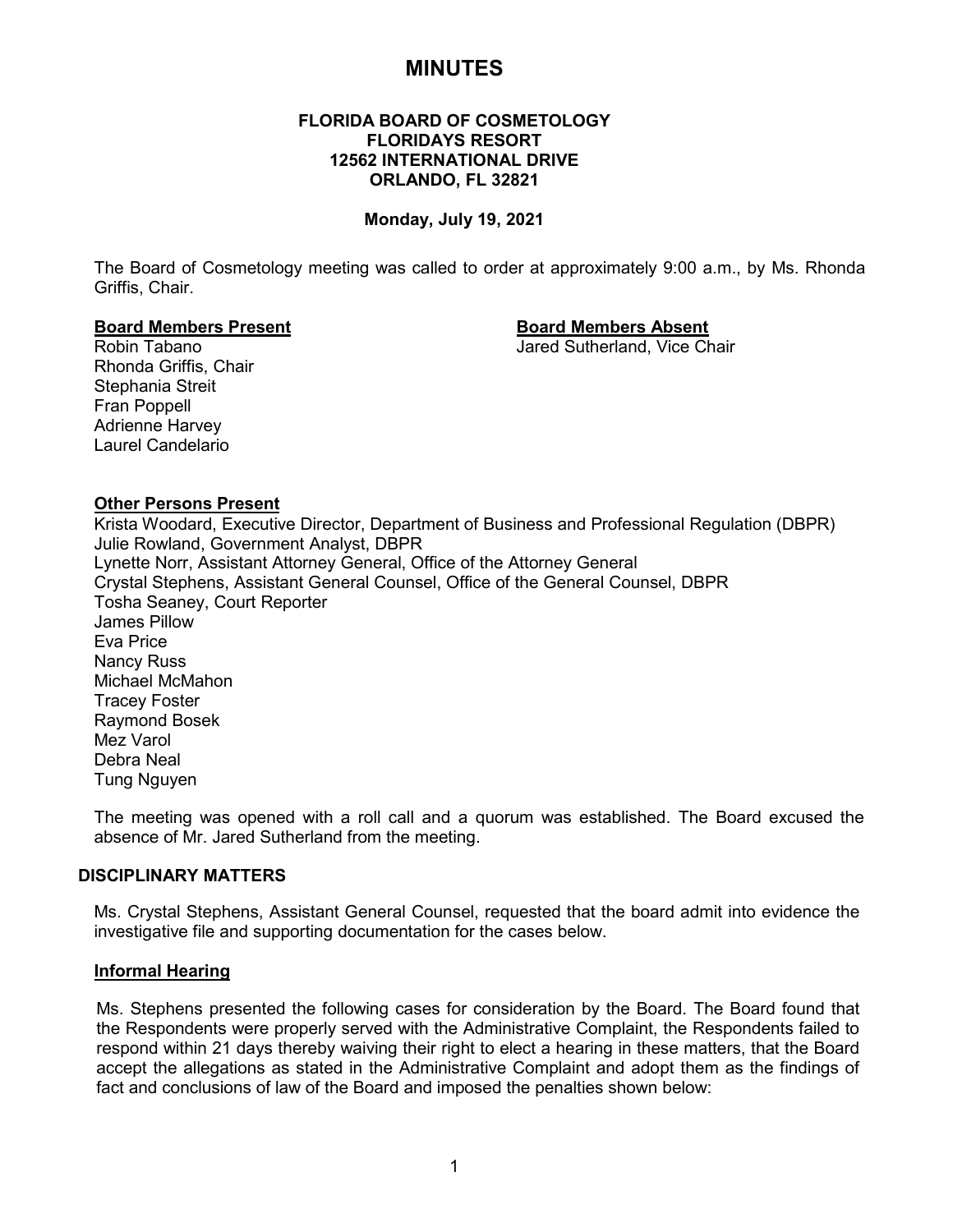# **MINUTES**

# **FLORIDA BOARD OF COSMETOLOGY FLORIDAYS RESORT 12562 INTERNATIONAL DRIVE ORLANDO, FL 32821**

#### **Monday, July 19, 2021**

The Board of Cosmetology meeting was called to order at approximately 9:00 a.m., by Ms. Rhonda Griffis, Chair.

# **Board Members Present Board Members Absent**

Jared Sutherland, Vice Chair

Rhonda Griffis, Chair Stephania Streit Fran Poppell Adrienne Harvey Laurel Candelario

#### **Other Persons Present**

Krista Woodard, Executive Director, Department of Business and Professional Regulation (DBPR) Julie Rowland, Government Analyst, DBPR Lynette Norr, Assistant Attorney General, Office of the Attorney General Crystal Stephens, Assistant General Counsel, Office of the General Counsel, DBPR Tosha Seaney, Court Reporter James Pillow Eva Price Nancy Russ Michael McMahon Tracey Foster Raymond Bosek Mez Varol Debra Neal Tung Nguyen

The meeting was opened with a roll call and a quorum was established. The Board excused the absence of Mr. Jared Sutherland from the meeting.

#### **DISCIPLINARY MATTERS**

Ms. Crystal Stephens, Assistant General Counsel, requested that the board admit into evidence the investigative file and supporting documentation for the cases below.

#### **Informal Hearing**

Ms. Stephens presented the following cases for consideration by the Board. The Board found that the Respondents were properly served with the Administrative Complaint, the Respondents failed to respond within 21 days thereby waiving their right to elect a hearing in these matters, that the Board accept the allegations as stated in the Administrative Complaint and adopt them as the findings of fact and conclusions of law of the Board and imposed the penalties shown below: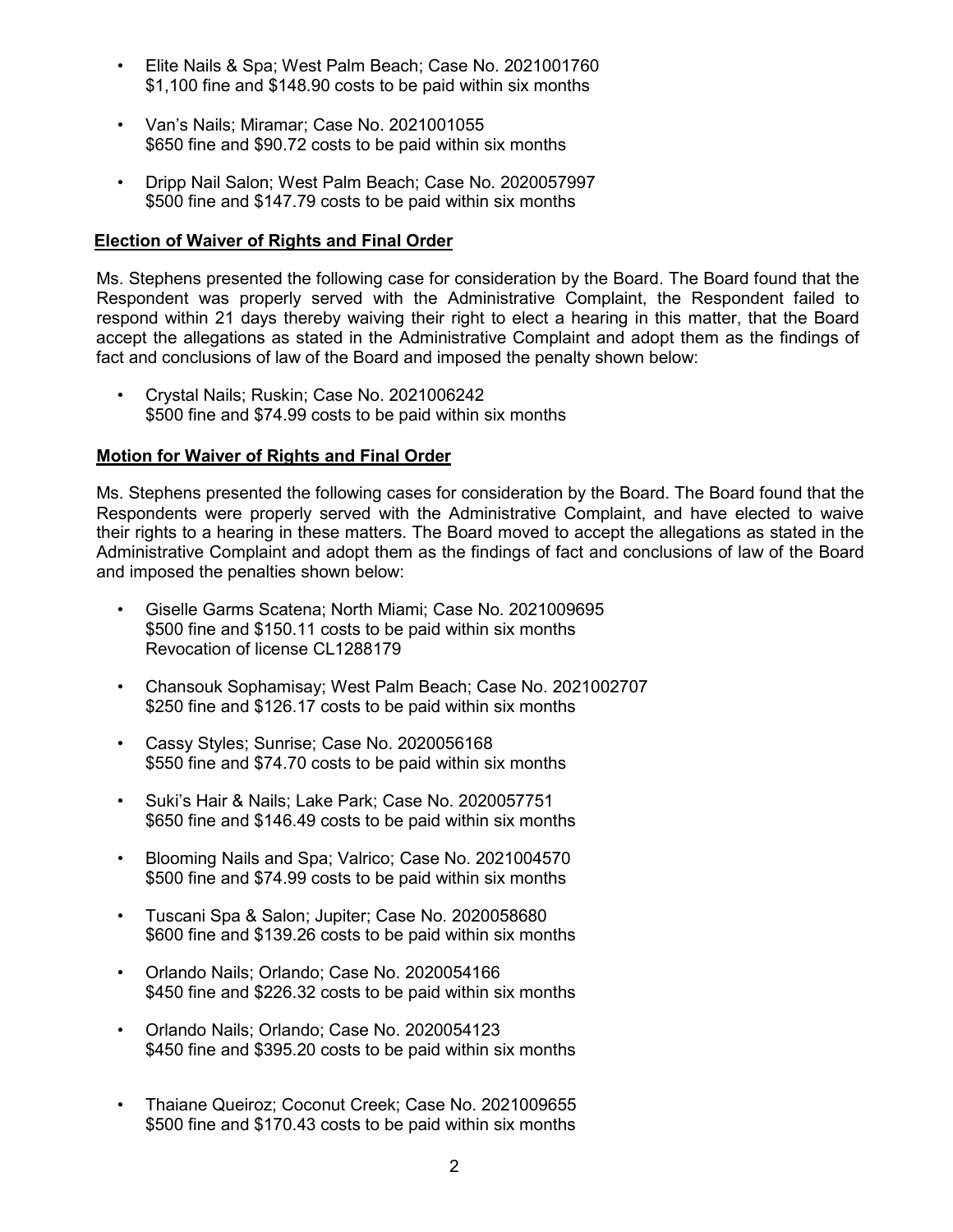- Elite Nails & Spa; West Palm Beach; Case No. 2021001760 \$1,100 fine and \$148.90 costs to be paid within six months
- Van's Nails; Miramar; Case No. 2021001055 \$650 fine and \$90.72 costs to be paid within six months
- Dripp Nail Salon; West Palm Beach; Case No. 2020057997 \$500 fine and \$147.79 costs to be paid within six months

# **Election of Waiver of Rights and Final Order**

Ms. Stephens presented the following case for consideration by the Board. The Board found that the Respondent was properly served with the Administrative Complaint, the Respondent failed to respond within 21 days thereby waiving their right to elect a hearing in this matter, that the Board accept the allegations as stated in the Administrative Complaint and adopt them as the findings of fact and conclusions of law of the Board and imposed the penalty shown below:

• Crystal Nails; Ruskin; Case No. 2021006242 \$500 fine and \$74.99 costs to be paid within six months

# **Motion for Waiver of Rights and Final Order**

Ms. Stephens presented the following cases for consideration by the Board. The Board found that the Respondents were properly served with the Administrative Complaint, and have elected to waive their rights to a hearing in these matters. The Board moved to accept the allegations as stated in the Administrative Complaint and adopt them as the findings of fact and conclusions of law of the Board and imposed the penalties shown below:

- Giselle Garms Scatena; North Miami; Case No. 2021009695 \$500 fine and \$150.11 costs to be paid within six months Revocation of license CL1288179
- Chansouk Sophamisay; West Palm Beach; Case No. 2021002707 \$250 fine and \$126.17 costs to be paid within six months
- Cassy Styles; Sunrise; Case No. 2020056168 \$550 fine and \$74.70 costs to be paid within six months
- Suki's Hair & Nails; Lake Park; Case No. 2020057751 \$650 fine and \$146.49 costs to be paid within six months
- Blooming Nails and Spa; Valrico; Case No. 2021004570 \$500 fine and \$74.99 costs to be paid within six months
- Tuscani Spa & Salon; Jupiter; Case No. 2020058680 \$600 fine and \$139.26 costs to be paid within six months
- Orlando Nails; Orlando; Case No. 2020054166 \$450 fine and \$226.32 costs to be paid within six months
- Orlando Nails; Orlando; Case No. 2020054123 \$450 fine and \$395.20 costs to be paid within six months
- Thaiane Queiroz; Coconut Creek; Case No. 2021009655 \$500 fine and \$170.43 costs to be paid within six months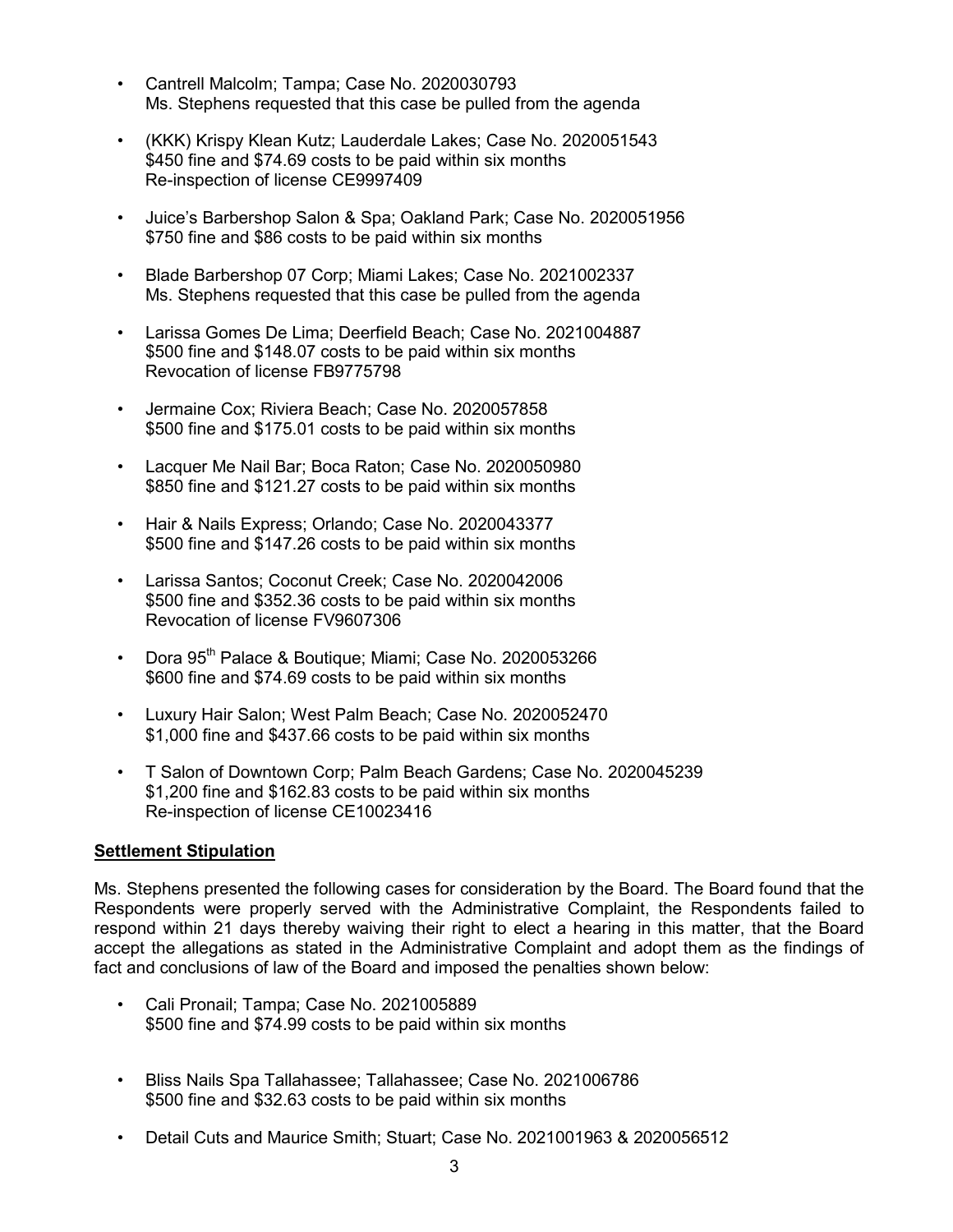- Cantrell Malcolm; Tampa; Case No. 2020030793 Ms. Stephens requested that this case be pulled from the agenda
- (KKK) Krispy Klean Kutz; Lauderdale Lakes; Case No. 2020051543 \$450 fine and \$74.69 costs to be paid within six months Re-inspection of license CE9997409
- Juice's Barbershop Salon & Spa; Oakland Park; Case No. 2020051956 \$750 fine and \$86 costs to be paid within six months
- Blade Barbershop 07 Corp; Miami Lakes; Case No. 2021002337 Ms. Stephens requested that this case be pulled from the agenda
- Larissa Gomes De Lima; Deerfield Beach; Case No. 2021004887 \$500 fine and \$148.07 costs to be paid within six months Revocation of license FB9775798
- Jermaine Cox; Riviera Beach; Case No. 2020057858 \$500 fine and \$175.01 costs to be paid within six months
- Lacquer Me Nail Bar; Boca Raton; Case No. 2020050980 \$850 fine and \$121.27 costs to be paid within six months
- Hair & Nails Express; Orlando; Case No. 2020043377 \$500 fine and \$147.26 costs to be paid within six months
- Larissa Santos; Coconut Creek; Case No. 2020042006 \$500 fine and \$352.36 costs to be paid within six months Revocation of license FV9607306
- Dora 95<sup>th</sup> Palace & Boutique; Miami; Case No. 2020053266 \$600 fine and \$74.69 costs to be paid within six months
- Luxury Hair Salon; West Palm Beach; Case No. 2020052470 \$1,000 fine and \$437.66 costs to be paid within six months
- T Salon of Downtown Corp; Palm Beach Gardens; Case No. 2020045239 \$1,200 fine and \$162.83 costs to be paid within six months Re-inspection of license CE10023416

# **Settlement Stipulation**

Ms. Stephens presented the following cases for consideration by the Board. The Board found that the Respondents were properly served with the Administrative Complaint, the Respondents failed to respond within 21 days thereby waiving their right to elect a hearing in this matter, that the Board accept the allegations as stated in the Administrative Complaint and adopt them as the findings of fact and conclusions of law of the Board and imposed the penalties shown below:

- Cali Pronail; Tampa; Case No. 2021005889 \$500 fine and \$74.99 costs to be paid within six months
- Bliss Nails Spa Tallahassee; Tallahassee; Case No. 2021006786 \$500 fine and \$32.63 costs to be paid within six months
- Detail Cuts and Maurice Smith; Stuart; Case No. 2021001963 & 2020056512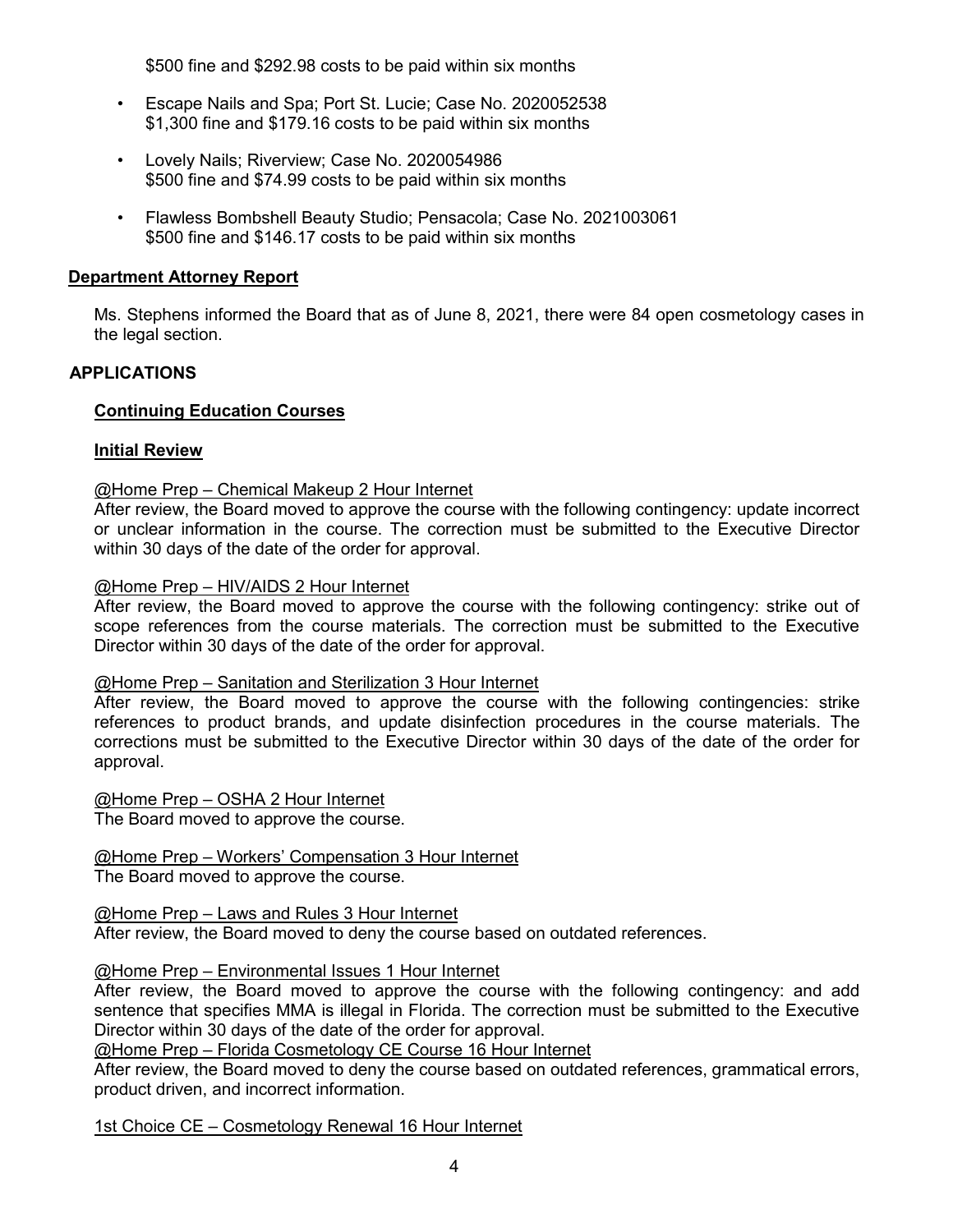\$500 fine and \$292.98 costs to be paid within six months

- Escape Nails and Spa; Port St. Lucie; Case No. 2020052538 \$1,300 fine and \$179.16 costs to be paid within six months
- Lovely Nails; Riverview; Case No. 2020054986 \$500 fine and \$74.99 costs to be paid within six months
- Flawless Bombshell Beauty Studio; Pensacola; Case No. 2021003061 \$500 fine and \$146.17 costs to be paid within six months

# **Department Attorney Report**

Ms. Stephens informed the Board that as of June 8, 2021, there were 84 open cosmetology cases in the legal section.

# **APPLICATIONS**

# **Continuing Education Courses**

## **Initial Review**

## @Home Prep – Chemical Makeup 2 Hour Internet

After review, the Board moved to approve the course with the following contingency: update incorrect or unclear information in the course. The correction must be submitted to the Executive Director within 30 days of the date of the order for approval.

#### @Home Prep – HIV/AIDS 2 Hour Internet

After review, the Board moved to approve the course with the following contingency: strike out of scope references from the course materials. The correction must be submitted to the Executive Director within 30 days of the date of the order for approval.

#### @Home Prep – Sanitation and Sterilization 3 Hour Internet

After review, the Board moved to approve the course with the following contingencies: strike references to product brands, and update disinfection procedures in the course materials. The corrections must be submitted to the Executive Director within 30 days of the date of the order for approval.

@Home Prep – OSHA 2 Hour Internet The Board moved to approve the course.

# @Home Prep – Workers' Compensation 3 Hour Internet

The Board moved to approve the course.

# @Home Prep – Laws and Rules 3 Hour Internet

After review, the Board moved to deny the course based on outdated references.

#### @Home Prep – Environmental Issues 1 Hour Internet

After review, the Board moved to approve the course with the following contingency: and add sentence that specifies MMA is illegal in Florida. The correction must be submitted to the Executive Director within 30 days of the date of the order for approval.

@Home Prep – Florida Cosmetology CE Course 16 Hour Internet

After review, the Board moved to deny the course based on outdated references, grammatical errors, product driven, and incorrect information.

1st Choice CE – Cosmetology Renewal 16 Hour Internet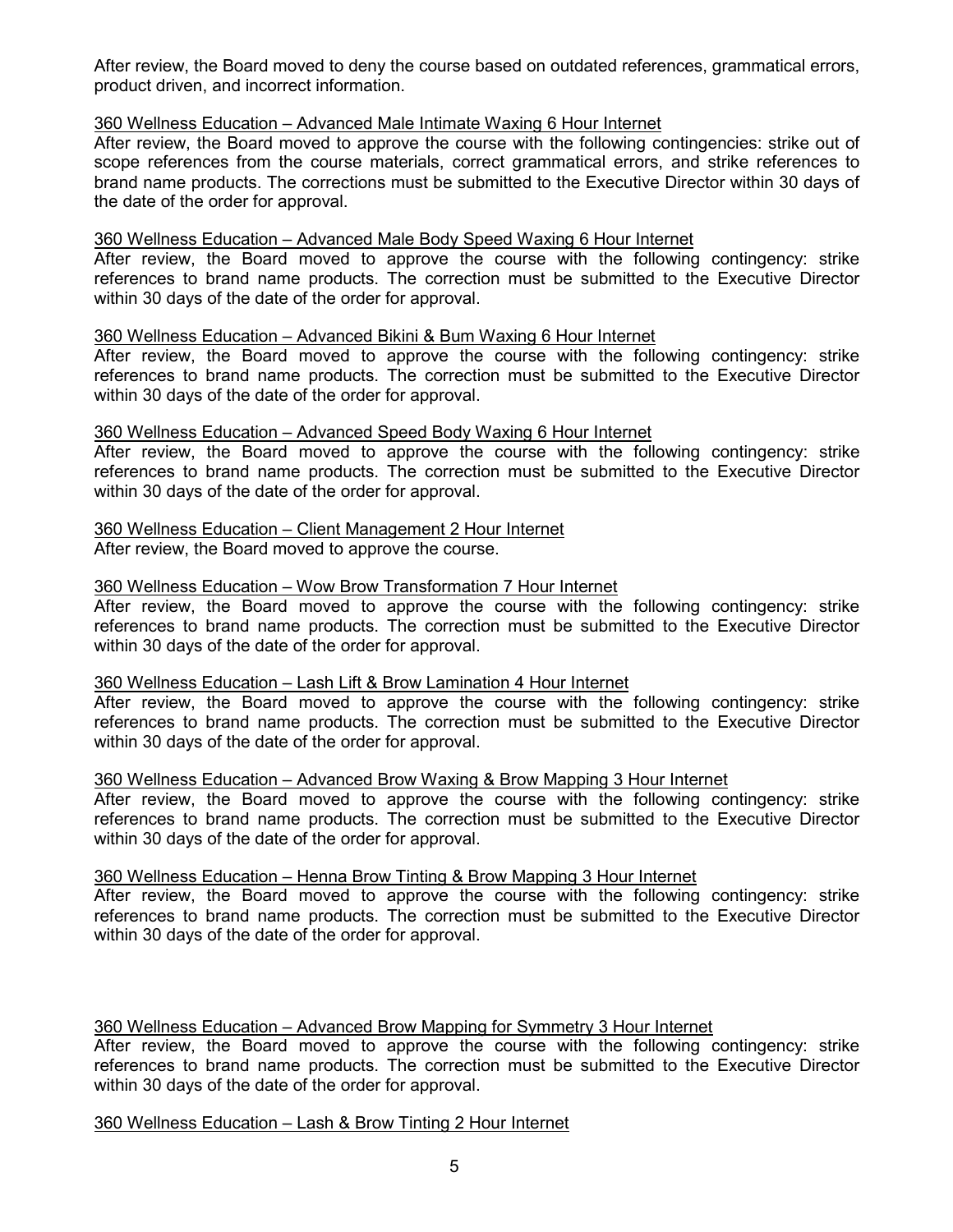After review, the Board moved to deny the course based on outdated references, grammatical errors, product driven, and incorrect information.

#### 360 Wellness Education – Advanced Male Intimate Waxing 6 Hour Internet

After review, the Board moved to approve the course with the following contingencies: strike out of scope references from the course materials, correct grammatical errors, and strike references to brand name products. The corrections must be submitted to the Executive Director within 30 days of the date of the order for approval.

#### 360 Wellness Education – Advanced Male Body Speed Waxing 6 Hour Internet

After review, the Board moved to approve the course with the following contingency: strike references to brand name products. The correction must be submitted to the Executive Director within 30 days of the date of the order for approval.

## 360 Wellness Education – Advanced Bikini & Bum Waxing 6 Hour Internet

After review, the Board moved to approve the course with the following contingency: strike references to brand name products. The correction must be submitted to the Executive Director within 30 days of the date of the order for approval.

## 360 Wellness Education – Advanced Speed Body Waxing 6 Hour Internet

After review, the Board moved to approve the course with the following contingency: strike references to brand name products. The correction must be submitted to the Executive Director within 30 days of the date of the order for approval.

# 360 Wellness Education – Client Management 2 Hour Internet

After review, the Board moved to approve the course.

# 360 Wellness Education – Wow Brow Transformation 7 Hour Internet

After review, the Board moved to approve the course with the following contingency: strike references to brand name products. The correction must be submitted to the Executive Director within 30 days of the date of the order for approval.

#### 360 Wellness Education – Lash Lift & Brow Lamination 4 Hour Internet

After review, the Board moved to approve the course with the following contingency: strike references to brand name products. The correction must be submitted to the Executive Director within 30 days of the date of the order for approval.

#### 360 Wellness Education – Advanced Brow Waxing & Brow Mapping 3 Hour Internet

After review, the Board moved to approve the course with the following contingency: strike references to brand name products. The correction must be submitted to the Executive Director within 30 days of the date of the order for approval.

#### 360 Wellness Education – Henna Brow Tinting & Brow Mapping 3 Hour Internet

After review, the Board moved to approve the course with the following contingency: strike references to brand name products. The correction must be submitted to the Executive Director within 30 days of the date of the order for approval.

# 360 Wellness Education – Advanced Brow Mapping for Symmetry 3 Hour Internet

After review, the Board moved to approve the course with the following contingency: strike references to brand name products. The correction must be submitted to the Executive Director within 30 days of the date of the order for approval.

# 360 Wellness Education – Lash & Brow Tinting 2 Hour Internet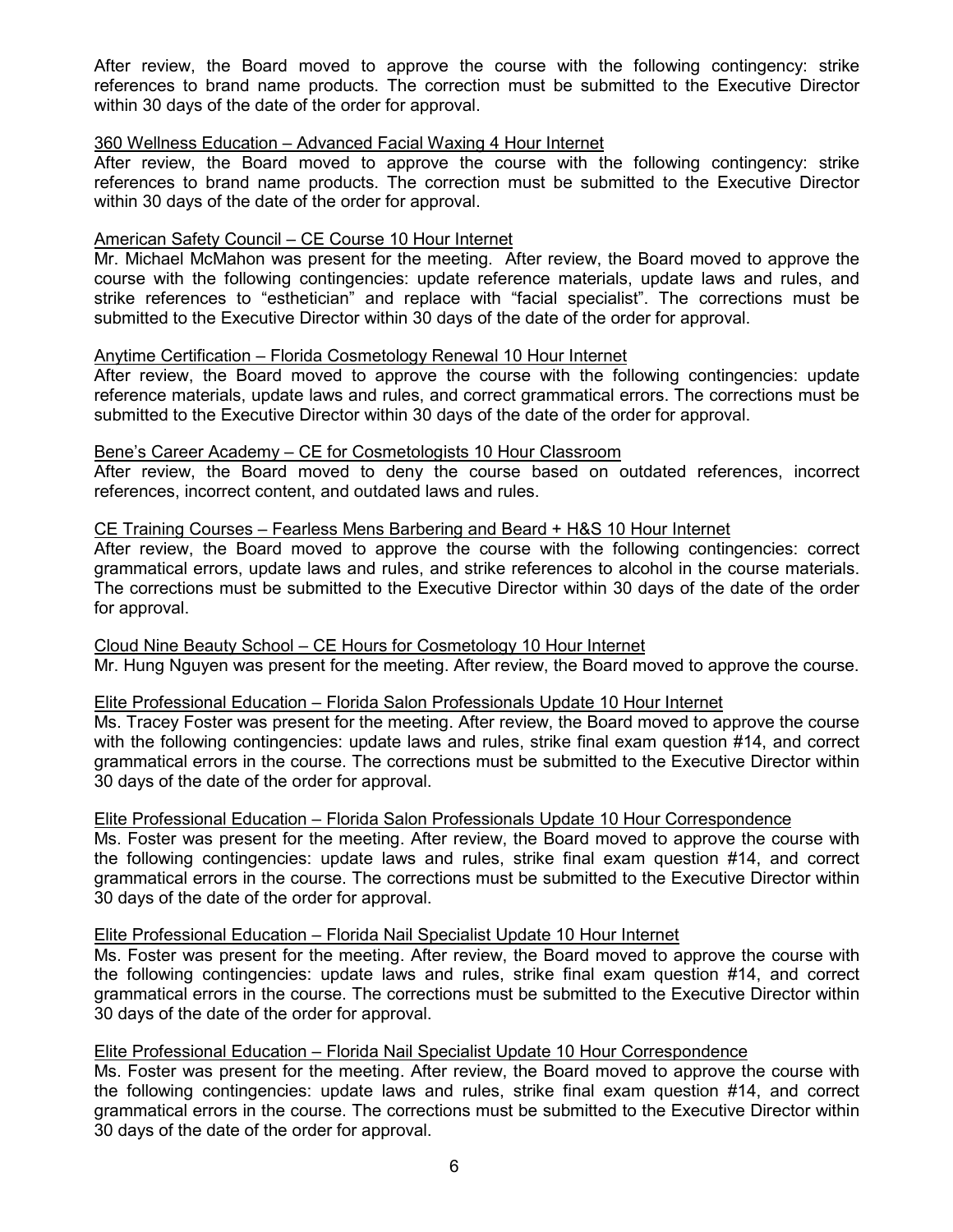After review, the Board moved to approve the course with the following contingency: strike references to brand name products. The correction must be submitted to the Executive Director within 30 days of the date of the order for approval.

#### 360 Wellness Education – Advanced Facial Waxing 4 Hour Internet

After review, the Board moved to approve the course with the following contingency: strike references to brand name products. The correction must be submitted to the Executive Director within 30 days of the date of the order for approval.

## American Safety Council – CE Course 10 Hour Internet

Mr. Michael McMahon was present for the meeting. After review, the Board moved to approve the course with the following contingencies: update reference materials, update laws and rules, and strike references to "esthetician" and replace with "facial specialist". The corrections must be submitted to the Executive Director within 30 days of the date of the order for approval.

## Anytime Certification – Florida Cosmetology Renewal 10 Hour Internet

After review, the Board moved to approve the course with the following contingencies: update reference materials, update laws and rules, and correct grammatical errors. The corrections must be submitted to the Executive Director within 30 days of the date of the order for approval.

#### Bene's Career Academy – CE for Cosmetologists 10 Hour Classroom

After review, the Board moved to deny the course based on outdated references, incorrect references, incorrect content, and outdated laws and rules.

#### CE Training Courses – Fearless Mens Barbering and Beard + H&S 10 Hour Internet

After review, the Board moved to approve the course with the following contingencies: correct grammatical errors, update laws and rules, and strike references to alcohol in the course materials. The corrections must be submitted to the Executive Director within 30 days of the date of the order for approval.

# Cloud Nine Beauty School – CE Hours for Cosmetology 10 Hour Internet

Mr. Hung Nguyen was present for the meeting. After review, the Board moved to approve the course.

#### Elite Professional Education – Florida Salon Professionals Update 10 Hour Internet

Ms. Tracey Foster was present for the meeting. After review, the Board moved to approve the course with the following contingencies: update laws and rules, strike final exam question #14, and correct grammatical errors in the course. The corrections must be submitted to the Executive Director within 30 days of the date of the order for approval.

#### Elite Professional Education – Florida Salon Professionals Update 10 Hour Correspondence

Ms. Foster was present for the meeting. After review, the Board moved to approve the course with the following contingencies: update laws and rules, strike final exam question #14, and correct grammatical errors in the course. The corrections must be submitted to the Executive Director within 30 days of the date of the order for approval.

#### Elite Professional Education – Florida Nail Specialist Update 10 Hour Internet

Ms. Foster was present for the meeting. After review, the Board moved to approve the course with the following contingencies: update laws and rules, strike final exam question #14, and correct grammatical errors in the course. The corrections must be submitted to the Executive Director within 30 days of the date of the order for approval.

#### Elite Professional Education – Florida Nail Specialist Update 10 Hour Correspondence

Ms. Foster was present for the meeting. After review, the Board moved to approve the course with the following contingencies: update laws and rules, strike final exam question #14, and correct grammatical errors in the course. The corrections must be submitted to the Executive Director within 30 days of the date of the order for approval.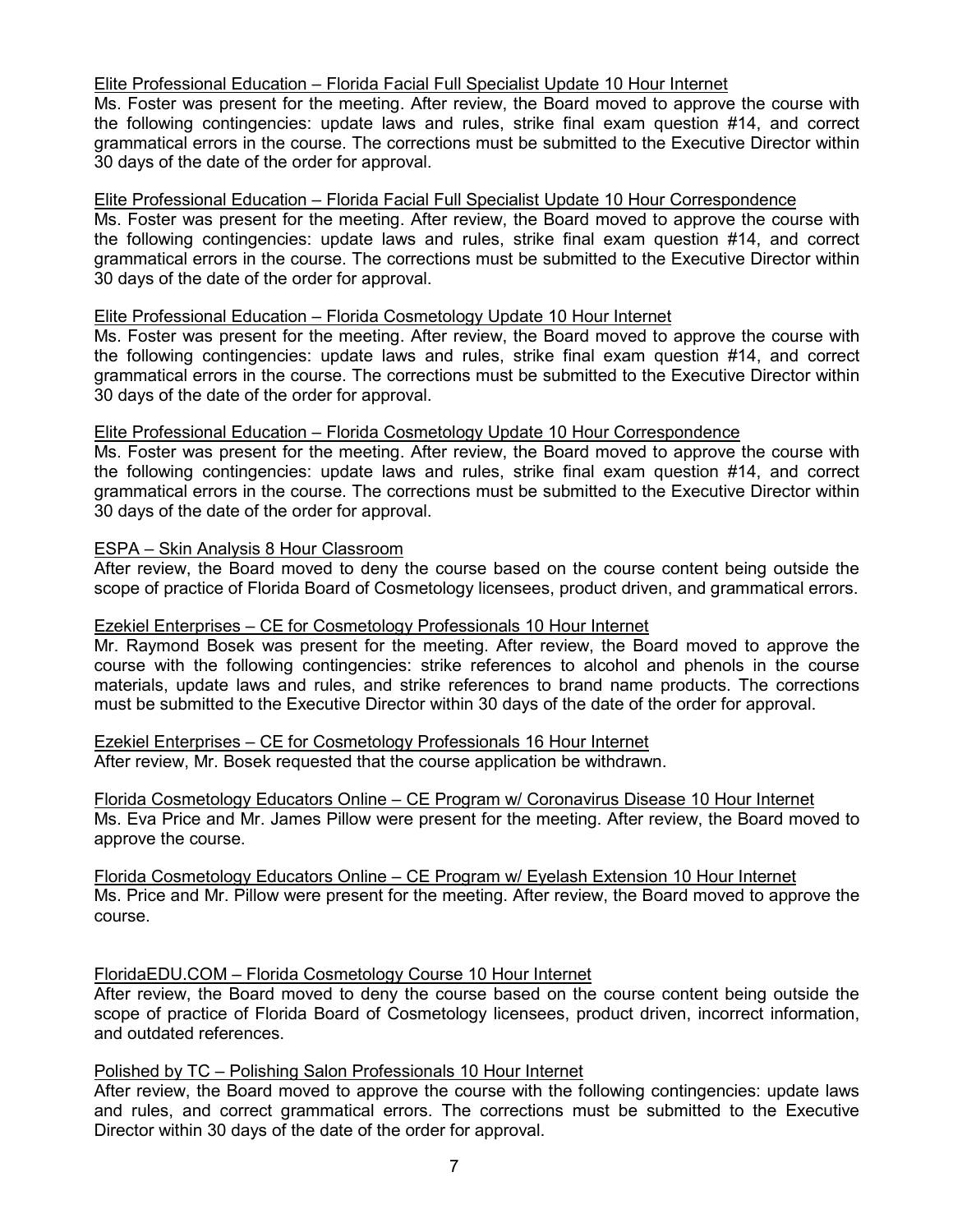# Elite Professional Education – Florida Facial Full Specialist Update 10 Hour Internet

Ms. Foster was present for the meeting. After review, the Board moved to approve the course with the following contingencies: update laws and rules, strike final exam question #14, and correct grammatical errors in the course. The corrections must be submitted to the Executive Director within 30 days of the date of the order for approval.

#### Elite Professional Education – Florida Facial Full Specialist Update 10 Hour Correspondence

Ms. Foster was present for the meeting. After review, the Board moved to approve the course with the following contingencies: update laws and rules, strike final exam question #14, and correct grammatical errors in the course. The corrections must be submitted to the Executive Director within 30 days of the date of the order for approval.

#### Elite Professional Education – Florida Cosmetology Update 10 Hour Internet

Ms. Foster was present for the meeting. After review, the Board moved to approve the course with the following contingencies: update laws and rules, strike final exam question #14, and correct grammatical errors in the course. The corrections must be submitted to the Executive Director within 30 days of the date of the order for approval.

## Elite Professional Education – Florida Cosmetology Update 10 Hour Correspondence

Ms. Foster was present for the meeting. After review, the Board moved to approve the course with the following contingencies: update laws and rules, strike final exam question #14, and correct grammatical errors in the course. The corrections must be submitted to the Executive Director within 30 days of the date of the order for approval.

#### ESPA – Skin Analysis 8 Hour Classroom

After review, the Board moved to deny the course based on the course content being outside the scope of practice of Florida Board of Cosmetology licensees, product driven, and grammatical errors.

# Ezekiel Enterprises – CE for Cosmetology Professionals 10 Hour Internet

Mr. Raymond Bosek was present for the meeting. After review, the Board moved to approve the course with the following contingencies: strike references to alcohol and phenols in the course materials, update laws and rules, and strike references to brand name products. The corrections must be submitted to the Executive Director within 30 days of the date of the order for approval.

Ezekiel Enterprises – CE for Cosmetology Professionals 16 Hour Internet After review, Mr. Bosek requested that the course application be withdrawn.

Florida Cosmetology Educators Online – CE Program w/ Coronavirus Disease 10 Hour Internet Ms. Eva Price and Mr. James Pillow were present for the meeting. After review, the Board moved to approve the course.

Florida Cosmetology Educators Online – CE Program w/ Eyelash Extension 10 Hour Internet Ms. Price and Mr. Pillow were present for the meeting. After review, the Board moved to approve the course.

# FloridaEDU.COM – Florida Cosmetology Course 10 Hour Internet

After review, the Board moved to deny the course based on the course content being outside the scope of practice of Florida Board of Cosmetology licensees, product driven, incorrect information, and outdated references.

#### Polished by TC – Polishing Salon Professionals 10 Hour Internet

After review, the Board moved to approve the course with the following contingencies: update laws and rules, and correct grammatical errors. The corrections must be submitted to the Executive Director within 30 days of the date of the order for approval.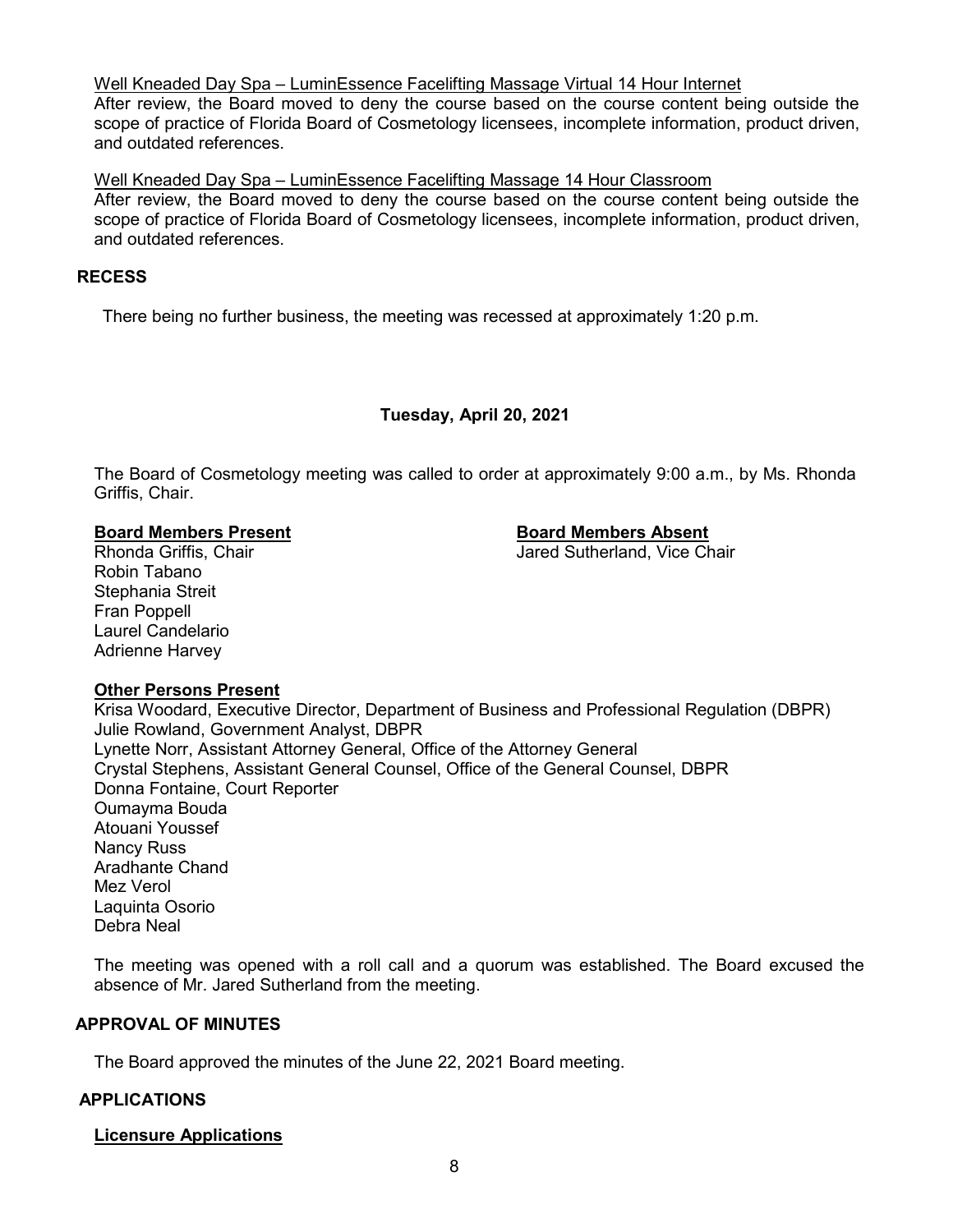Well Kneaded Day Spa – LuminEssence Facelifting Massage Virtual 14 Hour Internet

After review, the Board moved to deny the course based on the course content being outside the scope of practice of Florida Board of Cosmetology licensees, incomplete information, product driven, and outdated references.

Well Kneaded Day Spa – LuminEssence Facelifting Massage 14 Hour Classroom After review, the Board moved to deny the course based on the course content being outside the scope of practice of Florida Board of Cosmetology licensees, incomplete information, product driven, and outdated references.

# **RECESS**

There being no further business, the meeting was recessed at approximately 1:20 p.m.

# **Tuesday, April 20, 2021**

The Board of Cosmetology meeting was called to order at approximately 9:00 a.m., by Ms. Rhonda Griffis, Chair.

#### **Board Members Present Board Members Absent**

Rhonda Griffis, Chair **Jared Sutherland, Vice Chair** Jared Sutherland, Vice Chair

Robin Tabano Stephania Streit Fran Poppell Laurel Candelario Adrienne Harvey

# **Other Persons Present**

Krisa Woodard, Executive Director, Department of Business and Professional Regulation (DBPR) Julie Rowland, Government Analyst, DBPR Lynette Norr, Assistant Attorney General, Office of the Attorney General Crystal Stephens, Assistant General Counsel, Office of the General Counsel, DBPR Donna Fontaine, Court Reporter Oumayma Bouda Atouani Youssef Nancy Russ Aradhante Chand Mez Verol Laquinta Osorio Debra Neal

The meeting was opened with a roll call and a quorum was established. The Board excused the absence of Mr. Jared Sutherland from the meeting.

# **APPROVAL OF MINUTES**

The Board approved the minutes of the June 22, 2021 Board meeting.

# **APPLICATIONS**

# **Licensure Applications**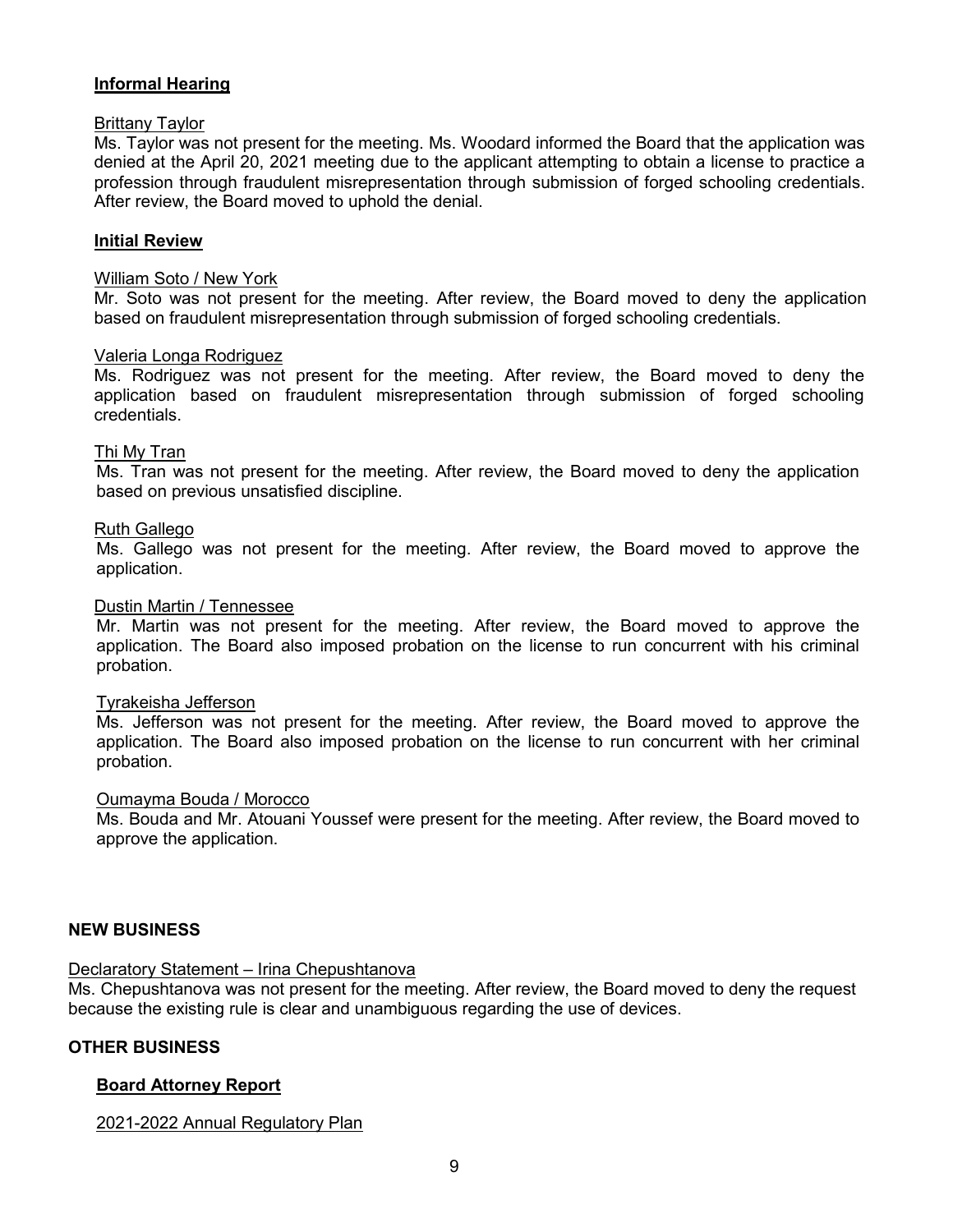# **Informal Hearing**

# Brittany Taylor

Ms. Taylor was not present for the meeting. Ms. Woodard informed the Board that the application was denied at the April 20, 2021 meeting due to the applicant attempting to obtain a license to practice a profession through fraudulent misrepresentation through submission of forged schooling credentials. After review, the Board moved to uphold the denial.

#### **Initial Review**

#### William Soto / New York

Mr. Soto was not present for the meeting. After review, the Board moved to deny the application based on fraudulent misrepresentation through submission of forged schooling credentials.

#### Valeria Longa Rodriguez

Ms. Rodriguez was not present for the meeting. After review, the Board moved to deny the application based on fraudulent misrepresentation through submission of forged schooling credentials.

#### Thi My Tran

Ms. Tran was not present for the meeting. After review, the Board moved to deny the application based on previous unsatisfied discipline.

#### Ruth Gallego

Ms. Gallego was not present for the meeting. After review, the Board moved to approve the application.

#### Dustin Martin / Tennessee

Mr. Martin was not present for the meeting. After review, the Board moved to approve the application. The Board also imposed probation on the license to run concurrent with his criminal probation.

#### Tyrakeisha Jefferson

Ms. Jefferson was not present for the meeting. After review, the Board moved to approve the application. The Board also imposed probation on the license to run concurrent with her criminal probation.

#### Oumayma Bouda / Morocco

Ms. Bouda and Mr. Atouani Youssef were present for the meeting. After review, the Board moved to approve the application.

#### **NEW BUSINESS**

# Declaratory Statement – Irina Chepushtanova

Ms. Chepushtanova was not present for the meeting. After review, the Board moved to deny the request because the existing rule is clear and unambiguous regarding the use of devices.

#### **OTHER BUSINESS**

#### **Board Attorney Report**

2021-2022 Annual Regulatory Plan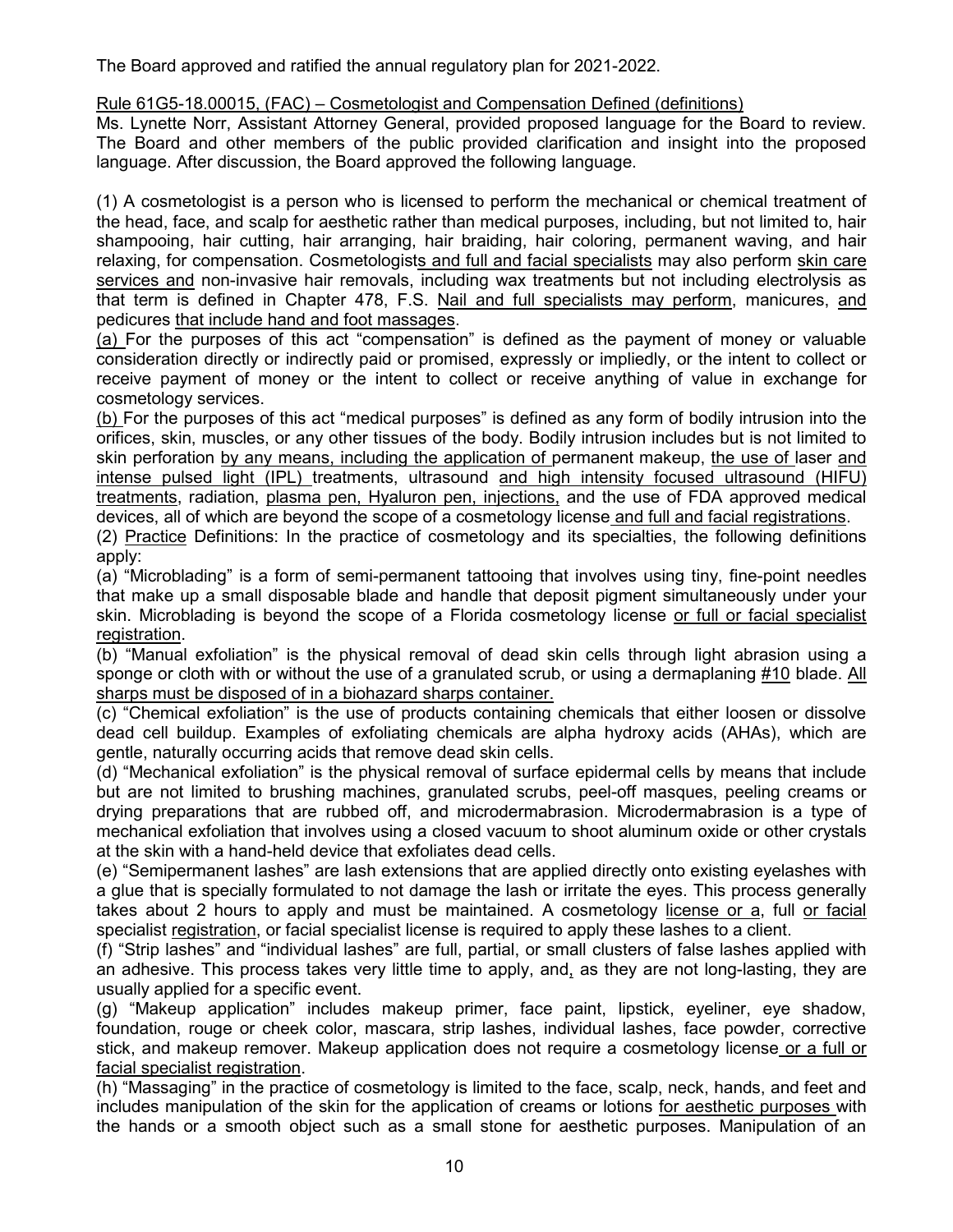The Board approved and ratified the annual regulatory plan for 2021-2022.

# Rule 61G5-18.00015, (FAC) – Cosmetologist and Compensation Defined (definitions)

Ms. Lynette Norr, Assistant Attorney General, provided proposed language for the Board to review. The Board and other members of the public provided clarification and insight into the proposed language. After discussion, the Board approved the following language.

(1) A cosmetologist is a person who is licensed to perform the mechanical or chemical treatment of the head, face, and scalp for aesthetic rather than medical purposes, including, but not limited to, hair shampooing, hair cutting, hair arranging, hair braiding, hair coloring, permanent waving, and hair relaxing, for compensation. Cosmetologists and full and facial specialists may also perform skin care services and non-invasive hair removals, including wax treatments but not including electrolysis as that term is defined in Chapter 478, F.S. Nail and full specialists may perform, manicures, and pedicures that include hand and foot massages.

(a) For the purposes of this act "compensation" is defined as the payment of money or valuable consideration directly or indirectly paid or promised, expressly or impliedly, or the intent to collect or receive payment of money or the intent to collect or receive anything of value in exchange for cosmetology services.

(b) For the purposes of this act "medical purposes" is defined as any form of bodily intrusion into the orifices, skin, muscles, or any other tissues of the body. Bodily intrusion includes but is not limited to skin perforation by any means, including the application of permanent makeup, the use of laser and intense pulsed light (IPL) treatments, ultrasound and high intensity focused ultrasound (HIFU) treatments, radiation, plasma pen, Hyaluron pen, injections, and the use of FDA approved medical devices, all of which are beyond the scope of a cosmetology license and full and facial registrations.

(2) Practice Definitions: In the practice of cosmetology and its specialties, the following definitions apply:

(a) "Microblading" is a form of semi-permanent tattooing that involves using tiny, fine-point needles that make up a small disposable blade and handle that deposit pigment simultaneously under your skin. Microblading is beyond the scope of a Florida cosmetology license or full or facial specialist registration.

(b) "Manual exfoliation" is the physical removal of dead skin cells through light abrasion using a sponge or cloth with or without the use of a granulated scrub, or using a dermaplaning #10 blade. All sharps must be disposed of in a biohazard sharps container.

(c) "Chemical exfoliation" is the use of products containing chemicals that either loosen or dissolve dead cell buildup. Examples of exfoliating chemicals are alpha hydroxy acids (AHAs), which are gentle, naturally occurring acids that remove dead skin cells.

(d) "Mechanical exfoliation" is the physical removal of surface epidermal cells by means that include but are not limited to brushing machines, granulated scrubs, peel-off masques, peeling creams or drying preparations that are rubbed off, and microdermabrasion. Microdermabrasion is a type of mechanical exfoliation that involves using a closed vacuum to shoot aluminum oxide or other crystals at the skin with a hand-held device that exfoliates dead cells.

(e) "Semipermanent lashes" are lash extensions that are applied directly onto existing eyelashes with a glue that is specially formulated to not damage the lash or irritate the eyes. This process generally takes about 2 hours to apply and must be maintained. A cosmetology license or a, full or facial specialist registration, or facial specialist license is required to apply these lashes to a client.

(f) "Strip lashes" and "individual lashes" are full, partial, or small clusters of false lashes applied with an adhesive. This process takes very little time to apply, and, as they are not long-lasting, they are usually applied for a specific event.

(g) "Makeup application" includes makeup primer, face paint, lipstick, eyeliner, eye shadow, foundation, rouge or cheek color, mascara, strip lashes, individual lashes, face powder, corrective stick, and makeup remover. Makeup application does not require a cosmetology license or a full or facial specialist registration.

(h) "Massaging" in the practice of cosmetology is limited to the face, scalp, neck, hands, and feet and includes manipulation of the skin for the application of creams or lotions for aesthetic purposes with the hands or a smooth object such as a small stone for aesthetic purposes. Manipulation of an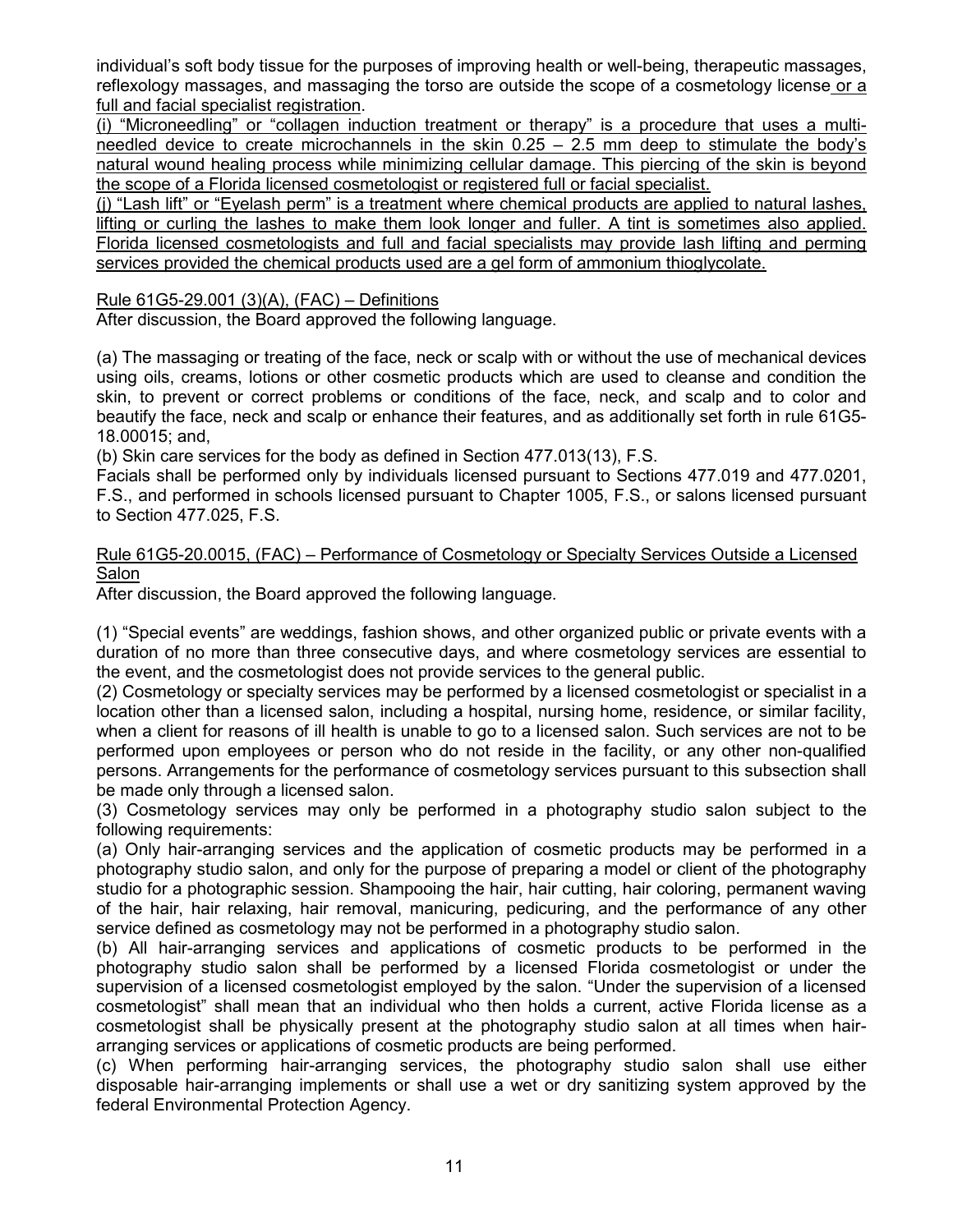individual's soft body tissue for the purposes of improving health or well-being, therapeutic massages, reflexology massages, and massaging the torso are outside the scope of a cosmetology license or a full and facial specialist registration.

(i) "Microneedling" or "collagen induction treatment or therapy" is a procedure that uses a multineedled device to create microchannels in the skin 0.25 – 2.5 mm deep to stimulate the body's natural wound healing process while minimizing cellular damage. This piercing of the skin is beyond the scope of a Florida licensed cosmetologist or registered full or facial specialist.

(j) "Lash lift" or "Eyelash perm" is a treatment where chemical products are applied to natural lashes, lifting or curling the lashes to make them look longer and fuller. A tint is sometimes also applied. Florida licensed cosmetologists and full and facial specialists may provide lash lifting and perming services provided the chemical products used are a gel form of ammonium thioglycolate.

# Rule 61G5-29.001 (3)(A), (FAC) – Definitions

After discussion, the Board approved the following language.

(a) The massaging or treating of the face, neck or scalp with or without the use of mechanical devices using oils, creams, lotions or other cosmetic products which are used to cleanse and condition the skin, to prevent or correct problems or conditions of the face, neck, and scalp and to color and beautify the face, neck and scalp or enhance their features, and as additionally set forth in rule 61G5- 18.00015; and,

(b) Skin care services for the body as defined in Section 477.013(13), F.S.

Facials shall be performed only by individuals licensed pursuant to Sections 477.019 and 477.0201, F.S., and performed in schools licensed pursuant to Chapter 1005, F.S., or salons licensed pursuant to Section 477.025, F.S.

# Rule 61G5-20.0015, (FAC) – Performance of Cosmetology or Specialty Services Outside a Licensed Salon

After discussion, the Board approved the following language.

(1) "Special events" are weddings, fashion shows, and other organized public or private events with a duration of no more than three consecutive days, and where cosmetology services are essential to the event, and the cosmetologist does not provide services to the general public.

(2) Cosmetology or specialty services may be performed by a licensed cosmetologist or specialist in a location other than a licensed salon, including a hospital, nursing home, residence, or similar facility, when a client for reasons of ill health is unable to go to a licensed salon. Such services are not to be performed upon employees or person who do not reside in the facility, or any other non-qualified persons. Arrangements for the performance of cosmetology services pursuant to this subsection shall be made only through a licensed salon.

(3) Cosmetology services may only be performed in a photography studio salon subject to the following requirements:

(a) Only hair-arranging services and the application of cosmetic products may be performed in a photography studio salon, and only for the purpose of preparing a model or client of the photography studio for a photographic session. Shampooing the hair, hair cutting, hair coloring, permanent waving of the hair, hair relaxing, hair removal, manicuring, pedicuring, and the performance of any other service defined as cosmetology may not be performed in a photography studio salon.

(b) All hair-arranging services and applications of cosmetic products to be performed in the photography studio salon shall be performed by a licensed Florida cosmetologist or under the supervision of a licensed cosmetologist employed by the salon. "Under the supervision of a licensed cosmetologist" shall mean that an individual who then holds a current, active Florida license as a cosmetologist shall be physically present at the photography studio salon at all times when hairarranging services or applications of cosmetic products are being performed.

(c) When performing hair-arranging services, the photography studio salon shall use either disposable hair-arranging implements or shall use a wet or dry sanitizing system approved by the federal Environmental Protection Agency.